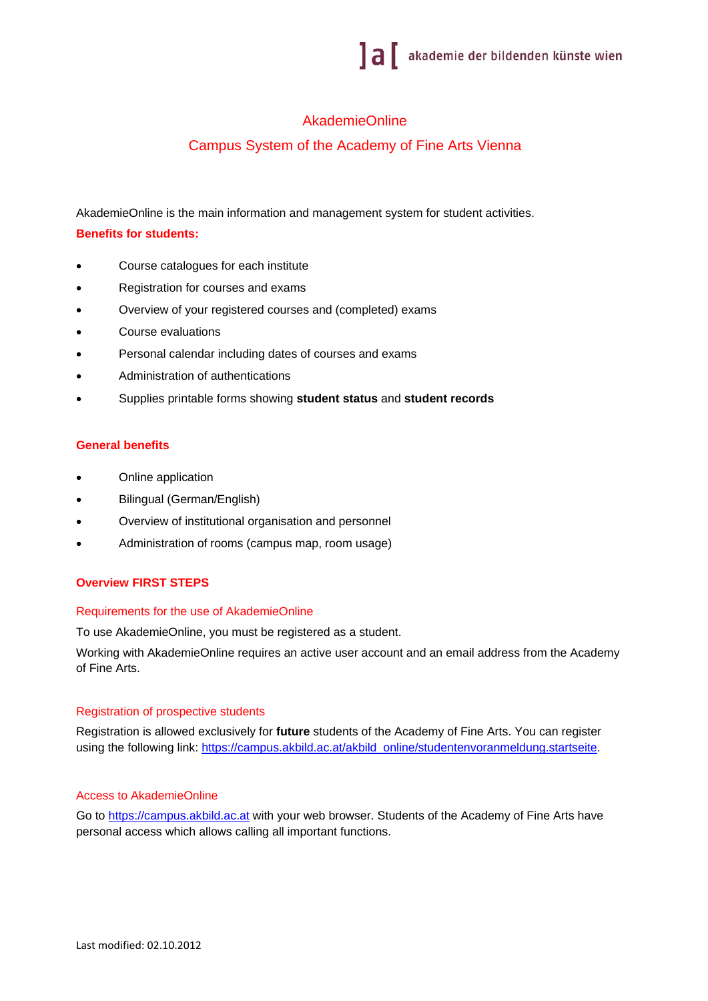# AkademieOnline

# Campus System of the Academy of Fine Arts Vienna

AkademieOnline is the main information and management system for student activities.

## **Benefits for students:**

- Course catalogues for each institute
- Registration for courses and exams
- Overview of your registered courses and (completed) exams
- Course evaluations
- Personal calendar including dates of courses and exams
- Administration of authentications
- Supplies printable forms showing **student status** and **student records**

## **General benefits**

- Online application
- Bilingual (German/English)
- Overview of institutional organisation and personnel
- Administration of rooms (campus map, room usage)

## **Overview FIRST STEPS**

### Requirements for the use of AkademieOnline

To use AkademieOnline, you must be registered as a student.

Working with AkademieOnline requires an active user account and an email address from the Academy of Fine Arts.

### Registration of prospective students

Registration is allowed exclusively for **future** students of the Academy of Fine Arts. You can register using the following link: https://campus.akbild.ac.at/akbild\_online/studentenvoranmeldung.startseite.

### Access to AkademieOnline

Go to https://campus.akbild.ac.at with your web browser. Students of the Academy of Fine Arts have personal access which allows calling all important functions.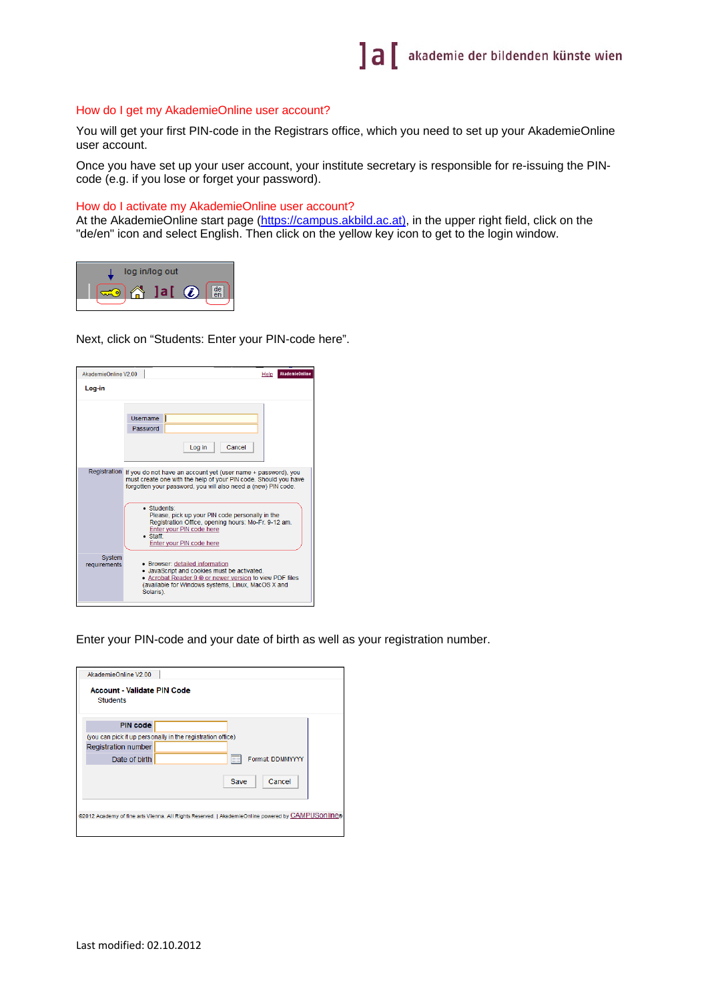#### How do I get my AkademieOnline user account?

You will get your first PIN-code in the Registrars office, which you need to set up your AkademieOnline user account.

Once you have set up your user account, your institute secretary is responsible for re-issuing the PINcode (e.g. if you lose or forget your password).

#### How do I activate my AkademieOnline user account?

At the AkademieOnline start page (https://campus.akbild.ac.at), in the upper right field, click on the "de/en" icon and select English. Then click on the yellow key icon to get to the login window.



Next, click on "Students: Enter your PIN-code here".

| AkademieOnline V2.00   | Help                                                                                                                                                                                                                                                                                                                                                                                                                | <b>AkademieOnline</b> |  |  |  |  |  |
|------------------------|---------------------------------------------------------------------------------------------------------------------------------------------------------------------------------------------------------------------------------------------------------------------------------------------------------------------------------------------------------------------------------------------------------------------|-----------------------|--|--|--|--|--|
| Log-in                 |                                                                                                                                                                                                                                                                                                                                                                                                                     |                       |  |  |  |  |  |
|                        | Username<br>Password<br>Cancel<br>Log in                                                                                                                                                                                                                                                                                                                                                                            |                       |  |  |  |  |  |
|                        | Registration If you do not have an account yet (user name + password), you<br>must create one with the help of your PIN code. Should you have<br>forgotten your password, you will also need a (new) PIN code.<br>· Students:<br>Please, pick up your PIN code personally in the<br>Registration Office, opening hours: Mo-Fr. 9-12 am.<br>Enter your PIN code here<br>$\bullet$ Staff:<br>Enter your PIN code here |                       |  |  |  |  |  |
| System<br>requirements | • Browser: detailed information<br>• JavaScript and cookies must be activated.<br>• Acrobat Reader 9 ® or newer version to view PDF files<br>(available for Windows systems, Linux, MacOS X and<br>Solaris).                                                                                                                                                                                                        |                       |  |  |  |  |  |

Enter your PIN-code and your date of birth as well as your registration number.

| AkademieOnline V2.00                                                                              |  |  |  |  |  |
|---------------------------------------------------------------------------------------------------|--|--|--|--|--|
| Account - Validate PIN Code<br><b>Students</b>                                                    |  |  |  |  |  |
| <b>PIN code</b>                                                                                   |  |  |  |  |  |
| (you can pick it up personally in the registration office)                                        |  |  |  |  |  |
| Registration number                                                                               |  |  |  |  |  |
| Format: DDMMYYYY<br>Date of birth<br>  田田                                                         |  |  |  |  |  |
| Cancel<br>Save                                                                                    |  |  |  |  |  |
| @2012 Academy of fine arts Vienna. All Rights Reserved.   AkademieOnline powered by CAMPUSOnline® |  |  |  |  |  |
|                                                                                                   |  |  |  |  |  |